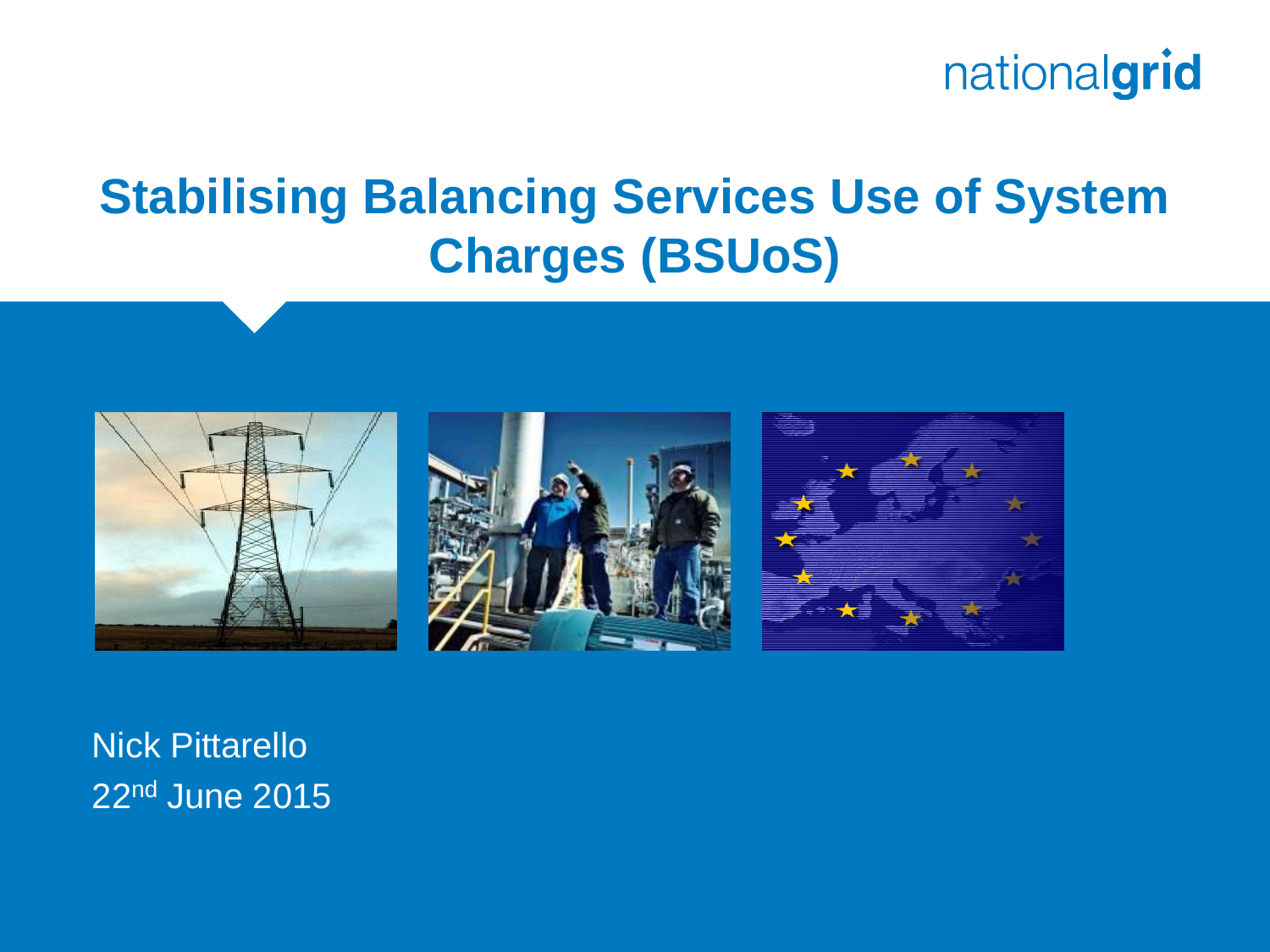

#### **Stabilising Balancing Services Use of System Charges (BSUoS)**



Nick Pittarello 22nd June 2015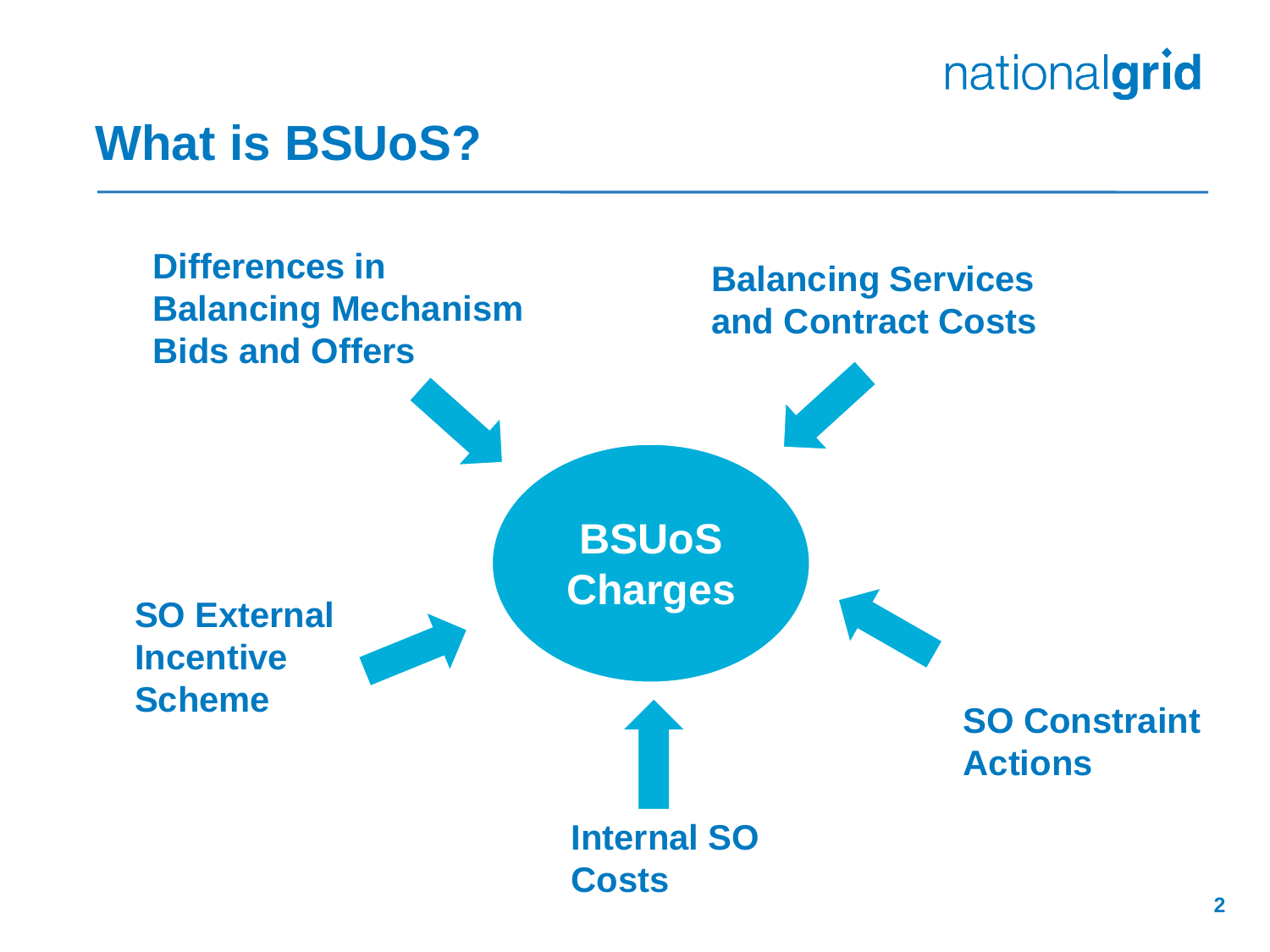#### **What is BSUoS?**

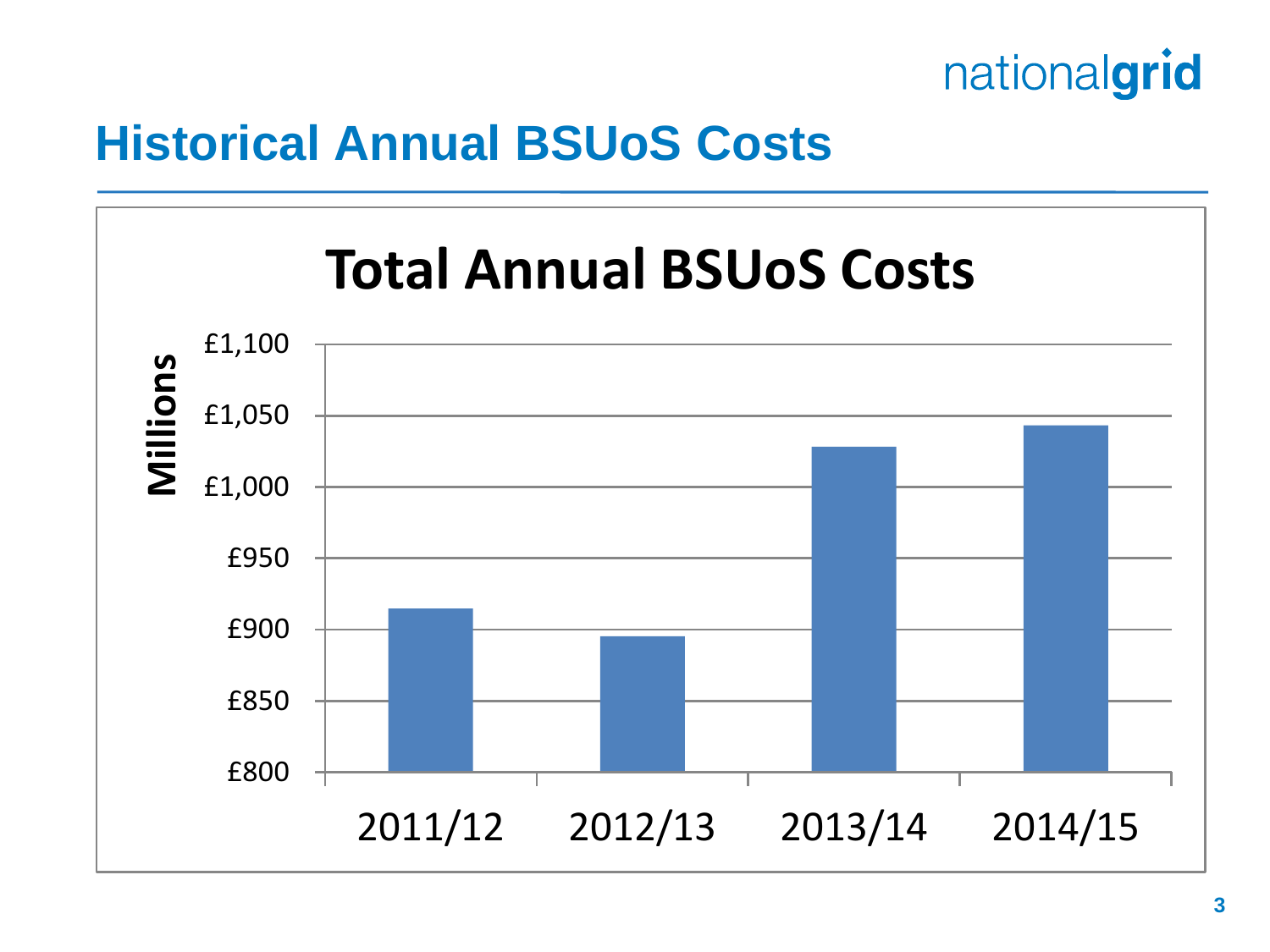

#### **Historical Annual BSUoS Costs**

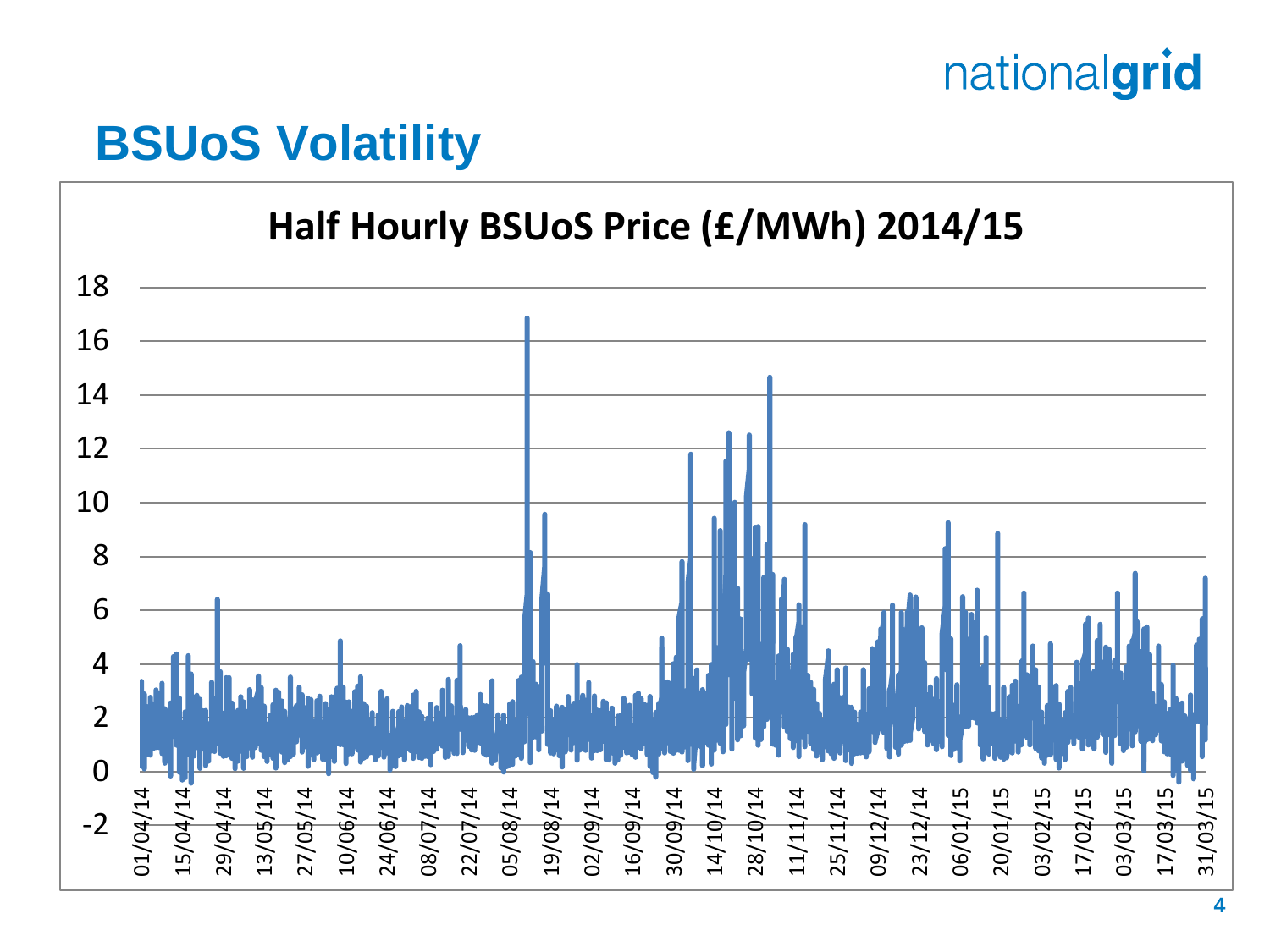#### **BSUoS Volatility**

#### **Half Hourly BSUoS Price (£/MWh) 2014/15**

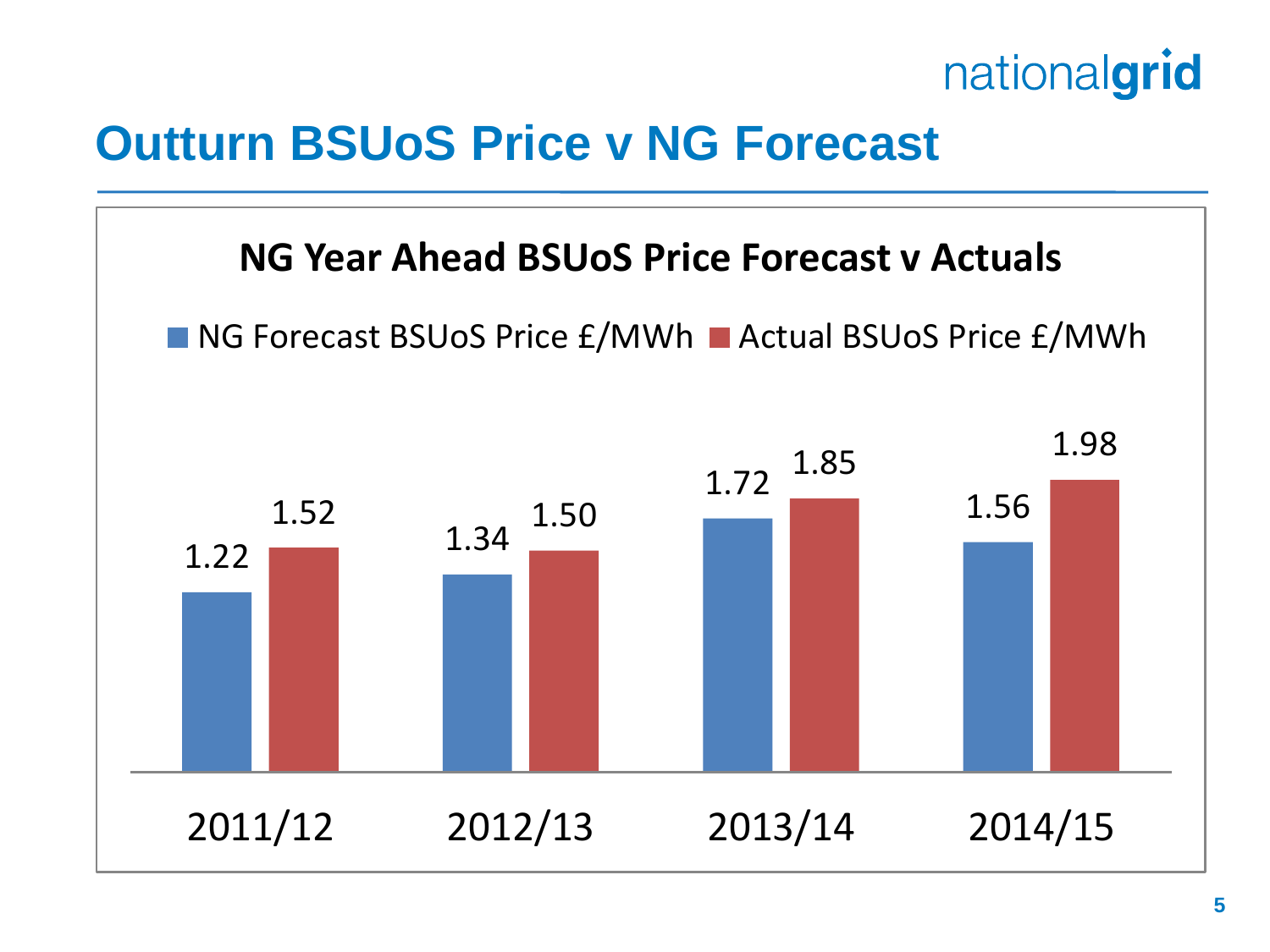

#### **Outturn BSUoS Price v NG Forecast**

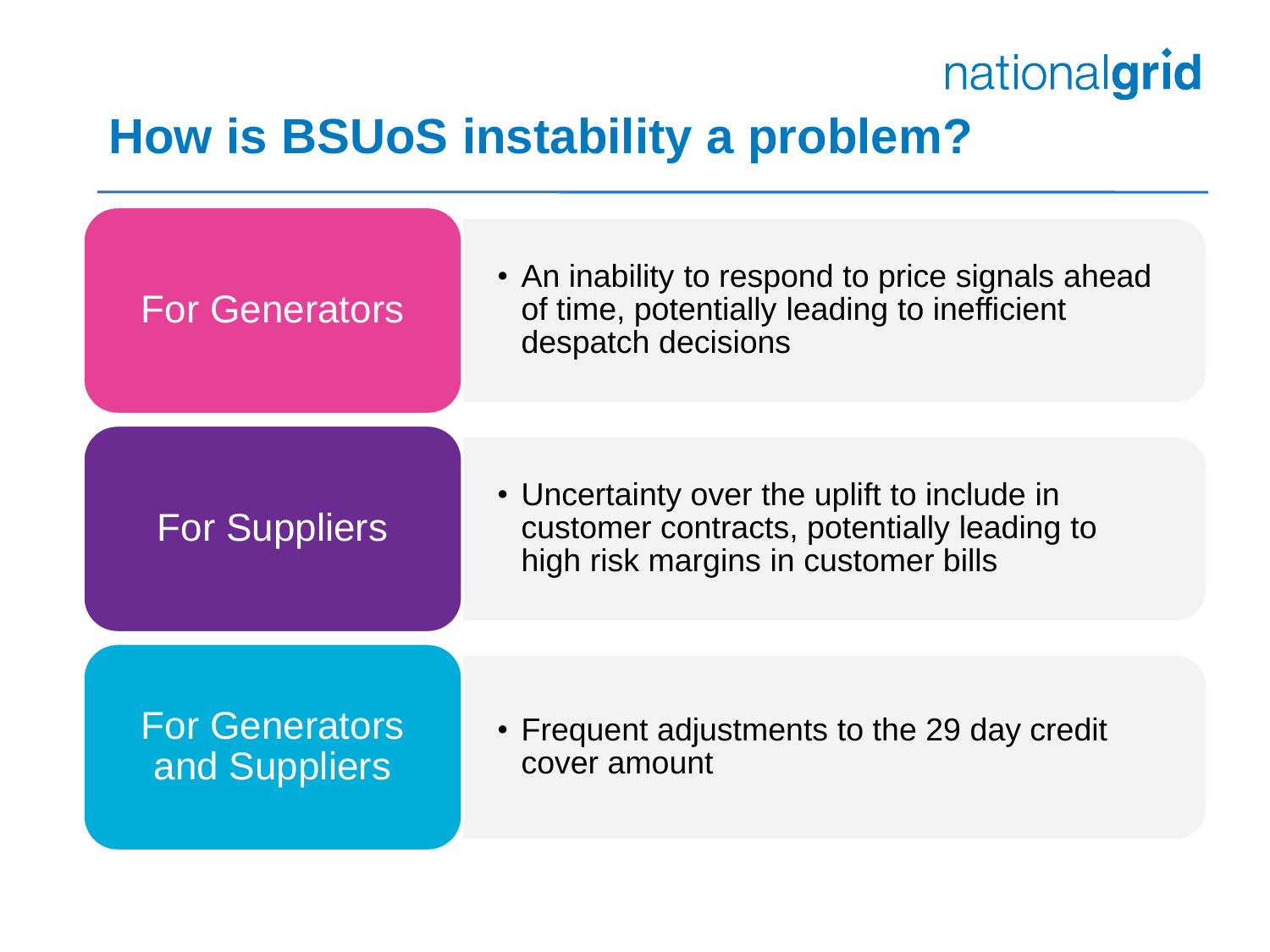#### **How is BSUoS instability a problem?**

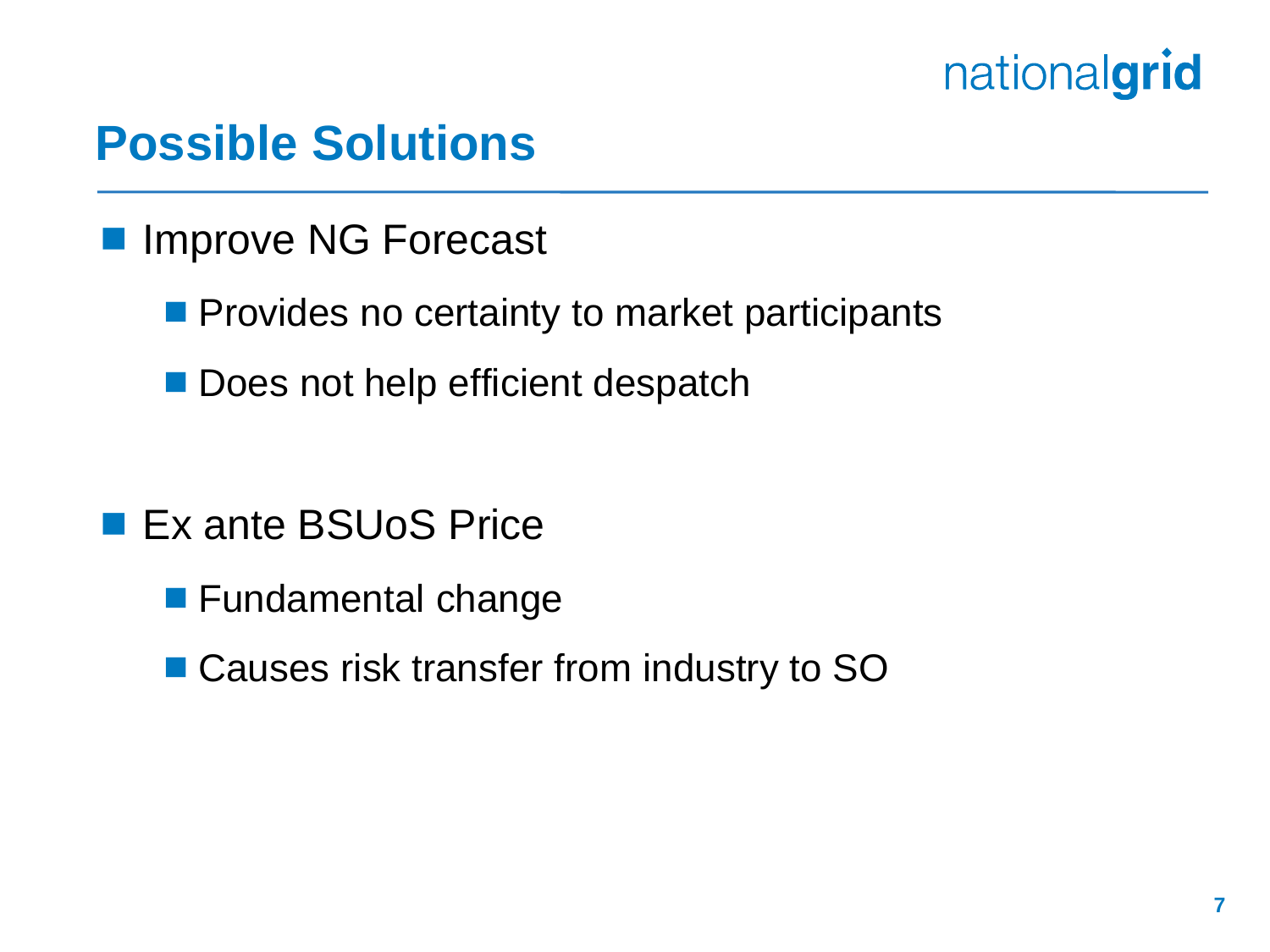#### **Possible Solutions**

- **Improve NG Forecast** 
	- **Provides no certainty to market participants**
	- Does not help efficient despatch

- **Ex ante BSUoS Price** 
	- **Fundamental change**
	- Causes risk transfer from industry to SO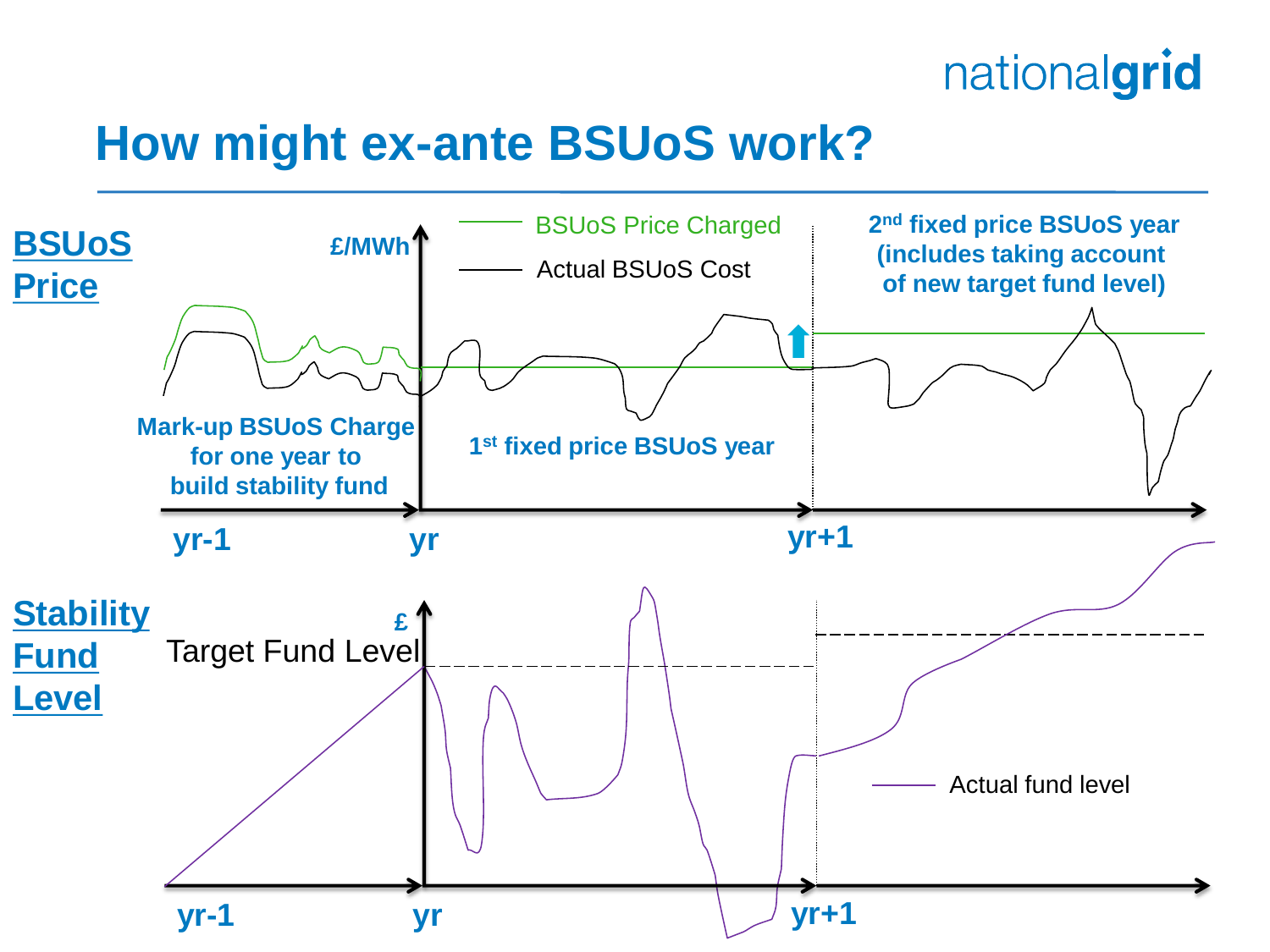#### **How might ex-ante BSUoS work?**

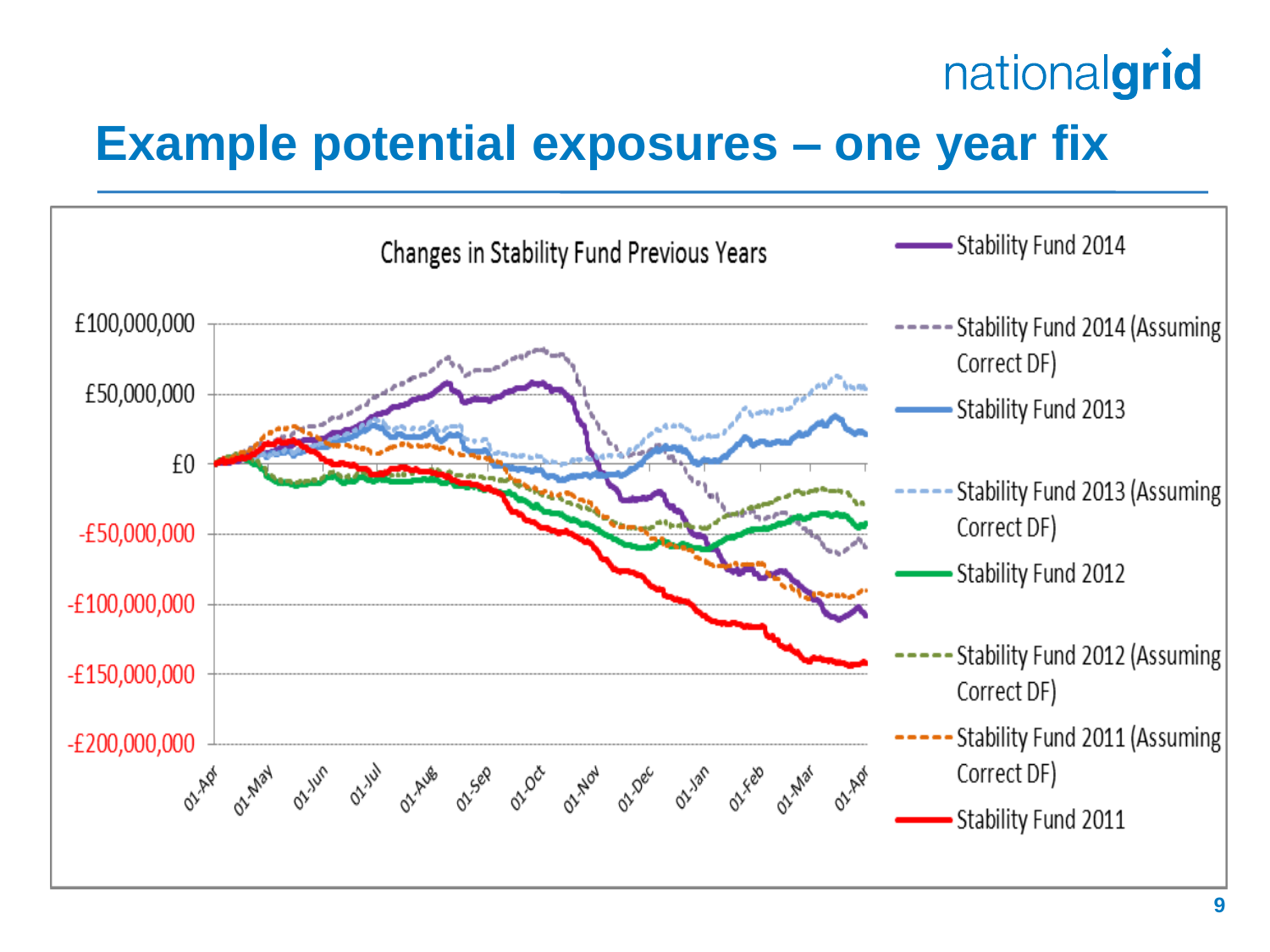### **Example potential exposures – one year fix**